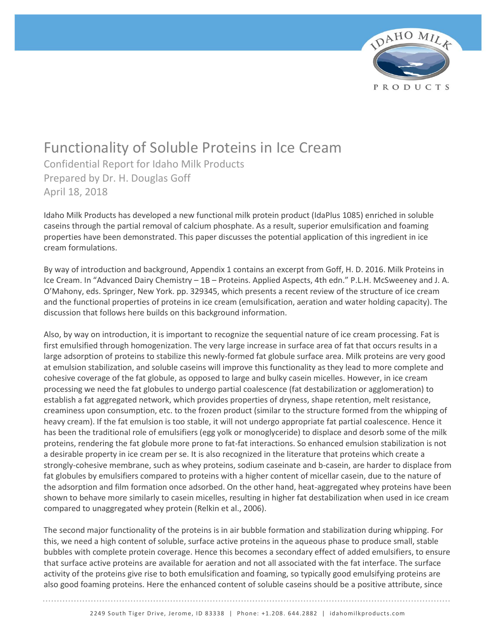

# Functionality of Soluble Proteins in Ice Cream

Confidential Report for Idaho Milk Products Prepared by Dr. H. Douglas Goff April 18, 2018

Idaho Milk Products has developed a new functional milk protein product (IdaPlus 1085) enriched in soluble caseins through the partial removal of calcium phosphate. As a result, superior emulsification and foaming properties have been demonstrated. This paper discusses the potential application of this ingredient in ice cream formulations.

By way of introduction and background, Appendix 1 contains an excerpt from Goff, H. D. 2016. Milk Proteins in Ice Cream. In "Advanced Dairy Chemistry – 1B – Proteins. Applied Aspects, 4th edn." P.L.H. McSweeney and J. A. O'Mahony, eds. Springer, New York. pp. 329345, which presents a recent review of the structure of ice cream and the functional properties of proteins in ice cream (emulsification, aeration and water holding capacity). The discussion that follows here builds on this background information.

Also, by way on introduction, it is important to recognize the sequential nature of ice cream processing. Fat is first emulsified through homogenization. The very large increase in surface area of fat that occurs results in a large adsorption of proteins to stabilize this newly-formed fat globule surface area. Milk proteins are very good at emulsion stabilization, and soluble caseins will improve this functionality as they lead to more complete and cohesive coverage of the fat globule, as opposed to large and bulky casein micelles. However, in ice cream processing we need the fat globules to undergo partial coalescence (fat destabilization or agglomeration) to establish a fat aggregated network, which provides properties of dryness, shape retention, melt resistance, creaminess upon consumption, etc. to the frozen product (similar to the structure formed from the whipping of heavy cream). If the fat emulsion is too stable, it will not undergo appropriate fat partial coalescence. Hence it has been the traditional role of emulsifiers (egg yolk or monoglyceride) to displace and desorb some of the milk proteins, rendering the fat globule more prone to fat-fat interactions. So enhanced emulsion stabilization is not a desirable property in ice cream per se. It is also recognized in the literature that proteins which create a strongly-cohesive membrane, such as whey proteins, sodium caseinate and b-casein, are harder to displace from fat globules by emulsifiers compared to proteins with a higher content of micellar casein, due to the nature of the adsorption and film formation once adsorbed. On the other hand, heat-aggregated whey proteins have been shown to behave more similarly to casein micelles, resulting in higher fat destabilization when used in ice cream compared to unaggregated whey protein (Relkin et al., 2006).

The second major functionality of the proteins is in air bubble formation and stabilization during whipping. For this, we need a high content of soluble, surface active proteins in the aqueous phase to produce small, stable bubbles with complete protein coverage. Hence this becomes a secondary effect of added emulsifiers, to ensure that surface active proteins are available for aeration and not all associated with the fat interface. The surface activity of the proteins give rise to both emulsification and foaming, so typically good emulsifying proteins are also good foaming proteins. Here the enhanced content of soluble caseins should be a positive attribute, since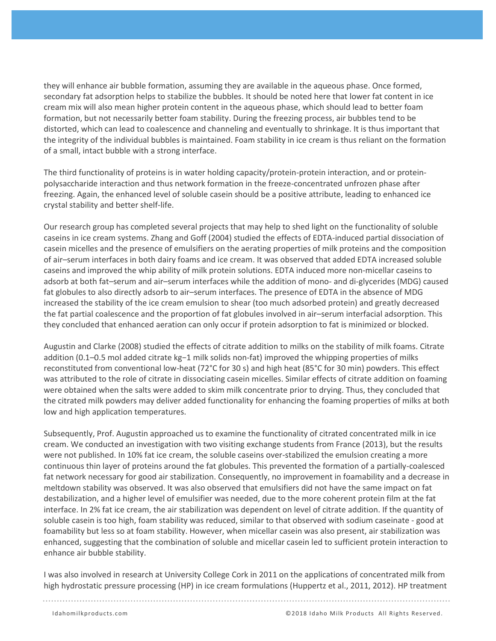they will enhance air bubble formation, assuming they are available in the aqueous phase. Once formed, secondary fat adsorption helps to stabilize the bubbles. It should be noted here that lower fat content in ice cream mix will also mean higher protein content in the aqueous phase, which should lead to better foam formation, but not necessarily better foam stability. During the freezing process, air bubbles tend to be distorted, which can lead to coalescence and channeling and eventually to shrinkage. It is thus important that the integrity of the individual bubbles is maintained. Foam stability in ice cream is thus reliant on the formation of a small, intact bubble with a strong interface.

The third functionality of proteins is in water holding capacity/protein-protein interaction, and or proteinpolysaccharide interaction and thus network formation in the freeze-concentrated unfrozen phase after freezing. Again, the enhanced level of soluble casein should be a positive attribute, leading to enhanced ice crystal stability and better shelf-life.

Our research group has completed several projects that may help to shed light on the functionality of soluble caseins in ice cream systems. Zhang and Goff (2004) studied the effects of EDTA-induced partial dissociation of casein micelles and the presence of emulsifiers on the aerating properties of milk proteins and the composition of air–serum interfaces in both dairy foams and ice cream. It was observed that added EDTA increased soluble caseins and improved the whip ability of milk protein solutions. EDTA induced more non-micellar caseins to adsorb at both fat–serum and air–serum interfaces while the addition of mono- and di-glycerides (MDG) caused fat globules to also directly adsorb to air–serum interfaces. The presence of EDTA in the absence of MDG increased the stability of the ice cream emulsion to shear (too much adsorbed protein) and greatly decreased the fat partial coalescence and the proportion of fat globules involved in air–serum interfacial adsorption. This they concluded that enhanced aeration can only occur if protein adsorption to fat is minimized or blocked.

Augustin and Clarke (2008) studied the effects of citrate addition to milks on the stability of milk foams. Citrate addition (0.1–0.5 mol added citrate kg−1 milk solids non-fat) improved the whipping properties of milks reconstituted from conventional low-heat (72°C for 30 s) and high heat (85°C for 30 min) powders. This effect was attributed to the role of citrate in dissociating casein micelles. Similar effects of citrate addition on foaming were obtained when the salts were added to skim milk concentrate prior to drying. Thus, they concluded that the citrated milk powders may deliver added functionality for enhancing the foaming properties of milks at both low and high application temperatures.

Subsequently, Prof. Augustin approached us to examine the functionality of citrated concentrated milk in ice cream. We conducted an investigation with two visiting exchange students from France (2013), but the results were not published. In 10% fat ice cream, the soluble caseins over-stabilized the emulsion creating a more continuous thin layer of proteins around the fat globules. This prevented the formation of a partially-coalesced fat network necessary for good air stabilization. Consequently, no improvement in foamability and a decrease in meltdown stability was observed. It was also observed that emulsifiers did not have the same impact on fat destabilization, and a higher level of emulsifier was needed, due to the more coherent protein film at the fat interface. In 2% fat ice cream, the air stabilization was dependent on level of citrate addition. If the quantity of soluble casein is too high, foam stability was reduced, similar to that observed with sodium caseinate - good at foamability but less so at foam stability. However, when micellar casein was also present, air stabilization was enhanced, suggesting that the combination of soluble and micellar casein led to sufficient protein interaction to enhance air bubble stability.

I was also involved in research at University College Cork in 2011 on the applications of concentrated milk from high hydrostatic pressure processing (HP) in ice cream formulations (Huppertz et al., 2011, 2012). HP treatment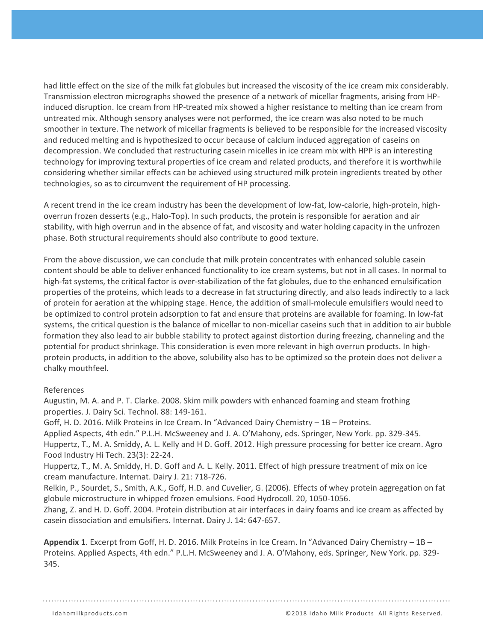had little effect on the size of the milk fat globules but increased the viscosity of the ice cream mix considerably. Transmission electron micrographs showed the presence of a network of micellar fragments, arising from HPinduced disruption. Ice cream from HP-treated mix showed a higher resistance to melting than ice cream from untreated mix. Although sensory analyses were not performed, the ice cream was also noted to be much smoother in texture. The network of micellar fragments is believed to be responsible for the increased viscosity and reduced melting and is hypothesized to occur because of calcium induced aggregation of caseins on decompression. We concluded that restructuring casein micelles in ice cream mix with HPP is an interesting technology for improving textural properties of ice cream and related products, and therefore it is worthwhile considering whether similar effects can be achieved using structured milk protein ingredients treated by other technologies, so as to circumvent the requirement of HP processing.

A recent trend in the ice cream industry has been the development of low-fat, low-calorie, high-protein, highoverrun frozen desserts (e.g., Halo-Top). In such products, the protein is responsible for aeration and air stability, with high overrun and in the absence of fat, and viscosity and water holding capacity in the unfrozen phase. Both structural requirements should also contribute to good texture.

From the above discussion, we can conclude that milk protein concentrates with enhanced soluble casein content should be able to deliver enhanced functionality to ice cream systems, but not in all cases. In normal to high-fat systems, the critical factor is over-stabilization of the fat globules, due to the enhanced emulsification properties of the proteins, which leads to a decrease in fat structuring directly, and also leads indirectly to a lack of protein for aeration at the whipping stage. Hence, the addition of small-molecule emulsifiers would need to be optimized to control protein adsorption to fat and ensure that proteins are available for foaming. In low-fat systems, the critical question is the balance of micellar to non-micellar caseins such that in addition to air bubble formation they also lead to air bubble stability to protect against distortion during freezing, channeling and the potential for product shrinkage. This consideration is even more relevant in high overrun products. In highprotein products, in addition to the above, solubility also has to be optimized so the protein does not deliver a chalky mouthfeel.

## References

Augustin, M. A. and P. T. Clarke. 2008. Skim milk powders with enhanced foaming and steam frothing properties. J. Dairy Sci. Technol. 88: 149-161.

Goff, H. D. 2016. Milk Proteins in Ice Cream. In "Advanced Dairy Chemistry – 1B – Proteins.

Applied Aspects, 4th edn." P.L.H. McSweeney and J. A. O'Mahony, eds. Springer, New York. pp. 329-345. Huppertz, T., M. A. Smiddy, A. L. Kelly and H D. Goff. 2012. High pressure processing for better ice cream. Agro Food Industry Hi Tech. 23(3): 22-24.

Huppertz, T., M. A. Smiddy, H. D. Goff and A. L. Kelly. 2011. Effect of high pressure treatment of mix on ice cream manufacture. Internat. Dairy J. 21: 718-726.

Relkin, P., Sourdet, S., Smith, A.K., Goff, H.D. and Cuvelier, G. (2006). Effects of whey protein aggregation on fat globule microstructure in whipped frozen emulsions. Food Hydrocoll. 20, 1050-1056.

Zhang, Z. and H. D. Goff. 2004. Protein distribution at air interfaces in dairy foams and ice cream as affected by casein dissociation and emulsifiers. Internat. Dairy J. 14: 647-657.

**Appendix 1**. Excerpt from Goff, H. D. 2016. Milk Proteins in Ice Cream. In "Advanced Dairy Chemistry – 1B – Proteins. Applied Aspects, 4th edn." P.L.H. McSweeney and J. A. O'Mahony, eds. Springer, New York. pp. 329- 345.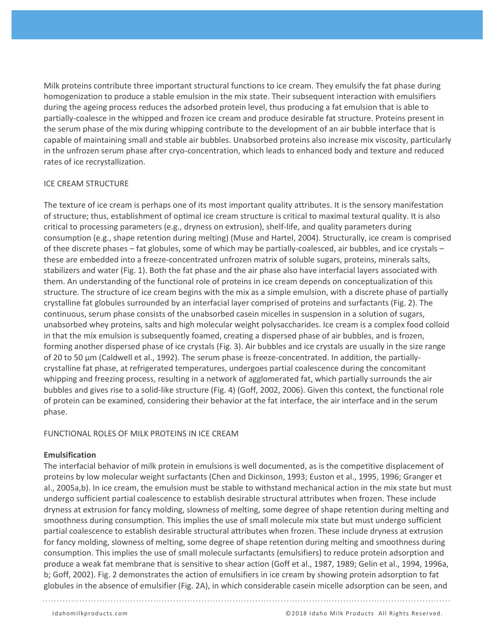Milk proteins contribute three important structural functions to ice cream. They emulsify the fat phase during homogenization to produce a stable emulsion in the mix state. Their subsequent interaction with emulsifiers during the ageing process reduces the adsorbed protein level, thus producing a fat emulsion that is able to partially-coalesce in the whipped and frozen ice cream and produce desirable fat structure. Proteins present in the serum phase of the mix during whipping contribute to the development of an air bubble interface that is capable of maintaining small and stable air bubbles. Unabsorbed proteins also increase mix viscosity, particularly in the unfrozen serum phase after cryo-concentration, which leads to enhanced body and texture and reduced rates of ice recrystallization.

## ICE CREAM STRUCTURE

The texture of ice cream is perhaps one of its most important quality attributes. It is the sensory manifestation of structure; thus, establishment of optimal ice cream structure is critical to maximal textural quality. It is also critical to processing parameters (e.g., dryness on extrusion), shelf-life, and quality parameters during consumption (e.g., shape retention during melting) (Muse and Hartel, 2004). Structurally, ice cream is comprised of thee discrete phases – fat globules, some of which may be partially-coalesced, air bubbles, and ice crystals – these are embedded into a freeze-concentrated unfrozen matrix of soluble sugars, proteins, minerals salts, stabilizers and water (Fig. 1). Both the fat phase and the air phase also have interfacial layers associated with them. An understanding of the functional role of proteins in ice cream depends on conceptualization of this structure. The structure of ice cream begins with the mix as a simple emulsion, with a discrete phase of partially crystalline fat globules surrounded by an interfacial layer comprised of proteins and surfactants (Fig. 2). The continuous, serum phase consists of the unabsorbed casein micelles in suspension in a solution of sugars, unabsorbed whey proteins, salts and high molecular weight polysaccharides. Ice cream is a complex food colloid in that the mix emulsion is subsequently foamed, creating a dispersed phase of air bubbles, and is frozen, forming another dispersed phase of ice crystals (Fig. 3). Air bubbles and ice crystals are usually in the size range of 20 to 50 µm (Caldwell et al., 1992). The serum phase is freeze-concentrated. In addition, the partiallycrystalline fat phase, at refrigerated temperatures, undergoes partial coalescence during the concomitant whipping and freezing process, resulting in a network of agglomerated fat, which partially surrounds the air bubbles and gives rise to a solid-like structure (Fig. 4) (Goff, 2002, 2006). Given this context, the functional role of protein can be examined, considering their behavior at the fat interface, the air interface and in the serum phase.

#### FUNCTIONAL ROLES OF MILK PROTEINS IN ICE CREAM

#### **Emulsification**

The interfacial behavior of milk protein in emulsions is well documented, as is the competitive displacement of proteins by low molecular weight surfactants (Chen and Dickinson, 1993; Euston et al., 1995, 1996; Granger et al., 2005a,b). In ice cream, the emulsion must be stable to withstand mechanical action in the mix state but must undergo sufficient partial coalescence to establish desirable structural attributes when frozen. These include dryness at extrusion for fancy molding, slowness of melting, some degree of shape retention during melting and smoothness during consumption. This implies the use of small molecule mix state but must undergo sufficient partial coalescence to establish desirable structural attributes when frozen. These include dryness at extrusion for fancy molding, slowness of melting, some degree of shape retention during melting and smoothness during consumption. This implies the use of small molecule surfactants (emulsifiers) to reduce protein adsorption and produce a weak fat membrane that is sensitive to shear action (Goff et al., 1987, 1989; Gelin et al., 1994, 1996a, b; Goff, 2002). Fig. 2 demonstrates the action of emulsifiers in ice cream by showing protein adsorption to fat globules in the absence of emulsifier (Fig. 2A), in which considerable casein micelle adsorption can be seen, and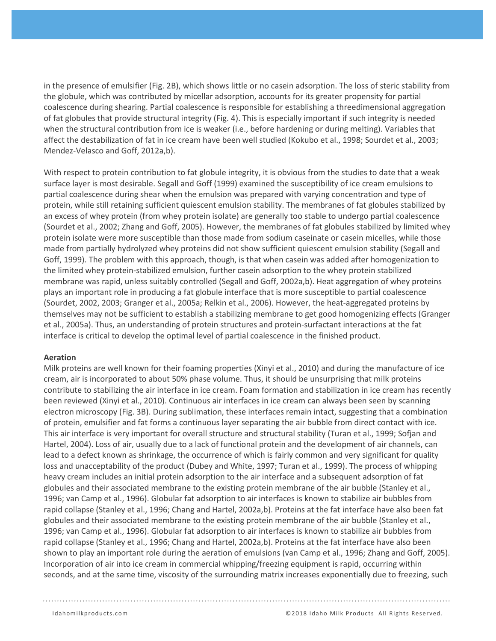in the presence of emulsifier (Fig. 2B), which shows little or no casein adsorption. The loss of steric stability from the globule, which was contributed by micellar adsorption, accounts for its greater propensity for partial coalescence during shearing. Partial coalescence is responsible for establishing a threedimensional aggregation of fat globules that provide structural integrity (Fig. 4). This is especially important if such integrity is needed when the structural contribution from ice is weaker (i.e., before hardening or during melting). Variables that affect the destabilization of fat in ice cream have been well studied (Kokubo et al., 1998; Sourdet et al., 2003; Mendez-Velasco and Goff, 2012a,b).

With respect to protein contribution to fat globule integrity, it is obvious from the studies to date that a weak surface layer is most desirable. Segall and Goff (1999) examined the susceptibility of ice cream emulsions to partial coalescence during shear when the emulsion was prepared with varying concentration and type of protein, while still retaining sufficient quiescent emulsion stability. The membranes of fat globules stabilized by an excess of whey protein (from whey protein isolate) are generally too stable to undergo partial coalescence (Sourdet et al., 2002; Zhang and Goff, 2005). However, the membranes of fat globules stabilized by limited whey protein isolate were more susceptible than those made from sodium caseinate or casein micelles, while those made from partially hydrolyzed whey proteins did not show sufficient quiescent emulsion stability (Segall and Goff, 1999). The problem with this approach, though, is that when casein was added after homogenization to the limited whey protein-stabilized emulsion, further casein adsorption to the whey protein stabilized membrane was rapid, unless suitably controlled (Segall and Goff, 2002a,b). Heat aggregation of whey proteins plays an important role in producing a fat globule interface that is more susceptible to partial coalescence (Sourdet, 2002, 2003; Granger et al., 2005a; Relkin et al., 2006). However, the heat-aggregated proteins by themselves may not be sufficient to establish a stabilizing membrane to get good homogenizing effects (Granger et al., 2005a). Thus, an understanding of protein structures and protein-surfactant interactions at the fat interface is critical to develop the optimal level of partial coalescence in the finished product.

#### **Aeration**

Milk proteins are well known for their foaming properties (Xinyi et al., 2010) and during the manufacture of ice cream, air is incorporated to about 50% phase volume. Thus, it should be unsurprising that milk proteins contribute to stabilizing the air interface in ice cream. Foam formation and stabilization in ice cream has recently been reviewed (Xinyi et al., 2010). Continuous air interfaces in ice cream can always been seen by scanning electron microscopy (Fig. 3B). During sublimation, these interfaces remain intact, suggesting that a combination of protein, emulsifier and fat forms a continuous layer separating the air bubble from direct contact with ice. This air interface is very important for overall structure and structural stability (Turan et al., 1999; Sofjan and Hartel, 2004). Loss of air, usually due to a lack of functional protein and the development of air channels, can lead to a defect known as shrinkage, the occurrence of which is fairly common and very significant for quality loss and unacceptability of the product (Dubey and White, 1997; Turan et al., 1999). The process of whipping heavy cream includes an initial protein adsorption to the air interface and a subsequent adsorption of fat globules and their associated membrane to the existing protein membrane of the air bubble (Stanley et al., 1996; van Camp et al., 1996). Globular fat adsorption to air interfaces is known to stabilize air bubbles from rapid collapse (Stanley et al., 1996; Chang and Hartel, 2002a,b). Proteins at the fat interface have also been fat globules and their associated membrane to the existing protein membrane of the air bubble (Stanley et al., 1996; van Camp et al., 1996). Globular fat adsorption to air interfaces is known to stabilize air bubbles from rapid collapse (Stanley et al., 1996; Chang and Hartel, 2002a,b). Proteins at the fat interface have also been shown to play an important role during the aeration of emulsions (van Camp et al., 1996; Zhang and Goff, 2005). Incorporation of air into ice cream in commercial whipping/freezing equipment is rapid, occurring within seconds, and at the same time, viscosity of the surrounding matrix increases exponentially due to freezing, such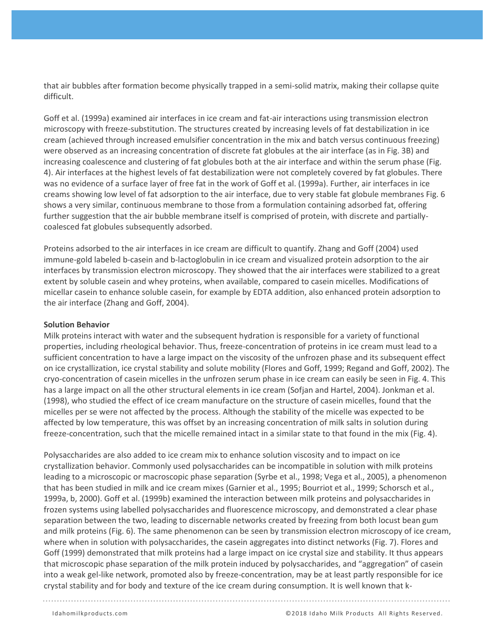that air bubbles after formation become physically trapped in a semi-solid matrix, making their collapse quite difficult.

Goff et al. (1999a) examined air interfaces in ice cream and fat-air interactions using transmission electron microscopy with freeze-substitution. The structures created by increasing levels of fat destabilization in ice cream (achieved through increased emulsifier concentration in the mix and batch versus continuous freezing) were observed as an increasing concentration of discrete fat globules at the air interface (as in Fig. 3B) and increasing coalescence and clustering of fat globules both at the air interface and within the serum phase (Fig. 4). Air interfaces at the highest levels of fat destabilization were not completely covered by fat globules. There was no evidence of a surface layer of free fat in the work of Goff et al. (1999a). Further, air interfaces in ice creams showing low level of fat adsorption to the air interface, due to very stable fat globule membranes Fig. 6 shows a very similar, continuous membrane to those from a formulation containing adsorbed fat, offering further suggestion that the air bubble membrane itself is comprised of protein, with discrete and partiallycoalesced fat globules subsequently adsorbed.

Proteins adsorbed to the air interfaces in ice cream are difficult to quantify. Zhang and Goff (2004) used immune-gold labeled b-casein and b-lactoglobulin in ice cream and visualized protein adsorption to the air interfaces by transmission electron microscopy. They showed that the air interfaces were stabilized to a great extent by soluble casein and whey proteins, when available, compared to casein micelles. Modifications of micellar casein to enhance soluble casein, for example by EDTA addition, also enhanced protein adsorption to the air interface (Zhang and Goff, 2004).

#### **Solution Behavior**

Milk proteins interact with water and the subsequent hydration is responsible for a variety of functional properties, including rheological behavior. Thus, freeze-concentration of proteins in ice cream must lead to a sufficient concentration to have a large impact on the viscosity of the unfrozen phase and its subsequent effect on ice crystallization, ice crystal stability and solute mobility (Flores and Goff, 1999; Regand and Goff, 2002). The cryo-concentration of casein micelles in the unfrozen serum phase in ice cream can easily be seen in Fig. 4. This has a large impact on all the other structural elements in ice cream (Sofjan and Hartel, 2004). Jonkman et al. (1998), who studied the effect of ice cream manufacture on the structure of casein micelles, found that the micelles per se were not affected by the process. Although the stability of the micelle was expected to be affected by low temperature, this was offset by an increasing concentration of milk salts in solution during freeze-concentration, such that the micelle remained intact in a similar state to that found in the mix (Fig. 4).

Polysaccharides are also added to ice cream mix to enhance solution viscosity and to impact on ice crystallization behavior. Commonly used polysaccharides can be incompatible in solution with milk proteins leading to a microscopic or macroscopic phase separation (Syrbe et al., 1998; Vega et al., 2005), a phenomenon that has been studied in milk and ice cream mixes (Garnier et al., 1995; Bourriot et al., 1999; Schorsch et al., 1999a, b, 2000). Goff et al. (1999b) examined the interaction between milk proteins and polysaccharides in frozen systems using labelled polysaccharides and fluorescence microscopy, and demonstrated a clear phase separation between the two, leading to discernable networks created by freezing from both locust bean gum and milk proteins (Fig. 6). The same phenomenon can be seen by transmission electron microscopy of ice cream, where when in solution with polysaccharides, the casein aggregates into distinct networks (Fig. 7). Flores and Goff (1999) demonstrated that milk proteins had a large impact on ice crystal size and stability. It thus appears that microscopic phase separation of the milk protein induced by polysaccharides, and "aggregation" of casein into a weak gel-like network, promoted also by freeze-concentration, may be at least partly responsible for ice crystal stability and for body and texture of the ice cream during consumption. It is well known that k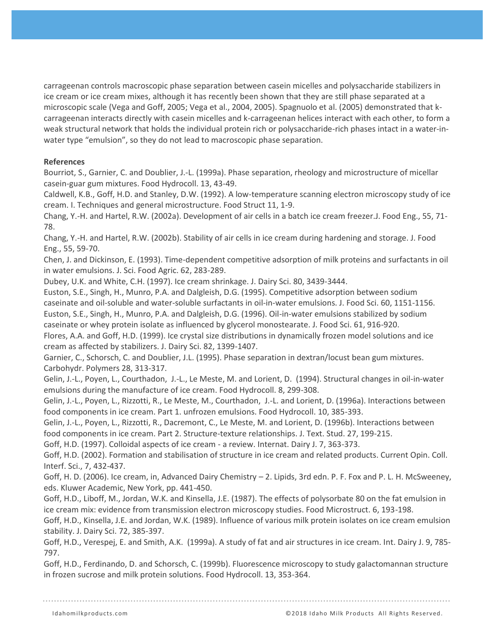carrageenan controls macroscopic phase separation between casein micelles and polysaccharide stabilizers in ice cream or ice cream mixes, although it has recently been shown that they are still phase separated at a microscopic scale (Vega and Goff, 2005; Vega et al., 2004, 2005). Spagnuolo et al. (2005) demonstrated that kcarrageenan interacts directly with casein micelles and k-carrageenan helices interact with each other, to form a weak structural network that holds the individual protein rich or polysaccharide-rich phases intact in a water-inwater type "emulsion", so they do not lead to macroscopic phase separation.

### **References**

Bourriot, S., Garnier, C. and Doublier, J.-L. (1999a). Phase separation, rheology and microstructure of micellar casein-guar gum mixtures. Food Hydrocoll. 13, 43-49.

Caldwell, K.B., Goff, H.D. and Stanley, D.W. (1992). A low-temperature scanning electron microscopy study of ice cream. I. Techniques and general microstructure. Food Struct 11, 1-9.

Chang, Y.-H. and Hartel, R.W. (2002a). Development of air cells in a batch ice cream freezer.J. Food Eng., 55, 71- 78.

Chang, Y.-H. and Hartel, R.W. (2002b). Stability of air cells in ice cream during hardening and storage. J. Food Eng., 55, 59-70.

Chen, J. and Dickinson, E. (1993). Time-dependent competitive adsorption of milk proteins and surfactants in oil in water emulsions. J. Sci. Food Agric. 62, 283-289.

Dubey, U.K. and White, C.H. (1997). Ice cream shrinkage. J. Dairy Sci. 80, 3439-3444.

Euston, S.E., Singh, H., Munro, P.A. and Dalgleish, D.G. (1995). Competitive adsorption between sodium caseinate and oil-soluble and water-soluble surfactants in oil-in-water emulsions. J. Food Sci. 60, 1151-1156. Euston, S.E., Singh, H., Munro, P.A. and Dalgleish, D.G. (1996). Oil-in-water emulsions stabilized by sodium caseinate or whey protein isolate as influenced by glycerol monostearate. J. Food Sci. 61, 916-920.

Flores, A.A. and Goff, H.D. (1999). Ice crystal size distributions in dynamically frozen model solutions and ice cream as affected by stabilizers. J. Dairy Sci. 82, 1399-1407.

Garnier, C., Schorsch, C. and Doublier, J.L. (1995). Phase separation in dextran/locust bean gum mixtures. Carbohydr. Polymers 28, 313-317.

Gelin, J.-L., Poyen, L., Courthadon, J.-L., Le Meste, M. and Lorient, D. (1994). Structural changes in oil-in-water emulsions during the manufacture of ice cream. Food Hydrocoll. 8, 299-308.

Gelin, J.-L., Poyen, L., Rizzotti, R., Le Meste, M., Courthadon, J.-L. and Lorient, D. (1996a). Interactions between food components in ice cream. Part 1. unfrozen emulsions. Food Hydrocoll. 10, 385-393.

Gelin, J.-L., Poyen, L., Rizzotti, R., Dacremont, C., Le Meste, M. and Lorient, D. (1996b). Interactions between food components in ice cream. Part 2. Structure-texture relationships. J. Text. Stud. 27, 199-215.

Goff, H.D. (1997). Colloidal aspects of ice cream - a review. Internat. Dairy J. 7, 363-373.

Goff, H.D. (2002). Formation and stabilisation of structure in ice cream and related products. Current Opin. Coll. Interf. Sci., 7, 432-437.

Goff, H. D. (2006). Ice cream, in, Advanced Dairy Chemistry – 2. Lipids, 3rd edn. P. F. Fox and P. L. H. McSweeney, eds. Kluwer Academic, New York, pp. 441-450.

Goff, H.D., Liboff, M., Jordan, W.K. and Kinsella, J.E. (1987). The effects of polysorbate 80 on the fat emulsion in ice cream mix: evidence from transmission electron microscopy studies. Food Microstruct. 6, 193-198.

Goff, H.D., Kinsella, J.E. and Jordan, W.K. (1989). Influence of various milk protein isolates on ice cream emulsion stability. J. Dairy Sci. 72, 385-397.

Goff, H.D., Verespej, E. and Smith, A.K. (1999a). A study of fat and air structures in ice cream. Int. Dairy J. 9, 785- 797.

Goff, H.D., Ferdinando, D. and Schorsch, C. (1999b). Fluorescence microscopy to study galactomannan structure in frozen sucrose and milk protein solutions. Food Hydrocoll. 13, 353-364.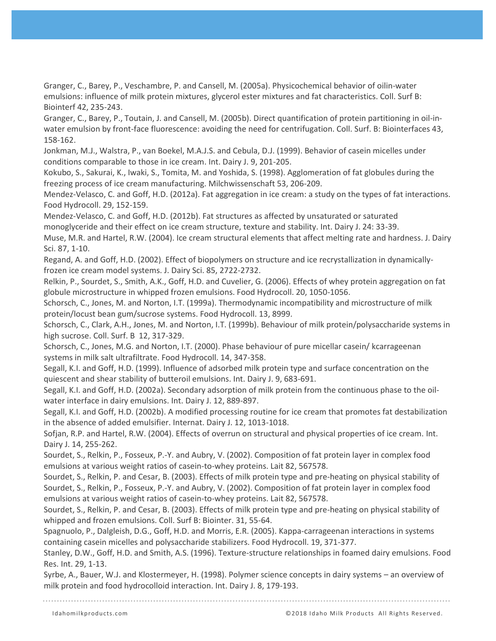Granger, C., Barey, P., Veschambre, P. and Cansell, M. (2005a). Physicochemical behavior of oilin-water emulsions: influence of milk protein mixtures, glycerol ester mixtures and fat characteristics. Coll. Surf B: Biointerf 42, 235-243.

Granger, C., Barey, P., Toutain, J. and Cansell, M. (2005b). Direct quantification of protein partitioning in oil-inwater emulsion by front-face fluorescence: avoiding the need for centrifugation. Coll. Surf. B: Biointerfaces 43, 158-162.

Jonkman, M.J., Walstra, P., van Boekel, M.A.J.S. and Cebula, D.J. (1999). Behavior of casein micelles under conditions comparable to those in ice cream. Int. Dairy J. 9, 201-205.

Kokubo, S., Sakurai, K., Iwaki, S., Tomita, M. and Yoshida, S. (1998). Agglomeration of fat globules during the freezing process of ice cream manufacturing. Milchwissenschaft 53, 206-209.

Mendez-Velasco, C. and Goff, H.D. (2012a). Fat aggregation in ice cream: a study on the types of fat interactions. Food Hydrocoll. 29, 152-159.

Mendez-Velasco, C. and Goff, H.D. (2012b). Fat structures as affected by unsaturated or saturated monoglyceride and their effect on ice cream structure, texture and stability. Int. Dairy J. 24: 33-39.

Muse, M.R. and Hartel, R.W. (2004). Ice cream structural elements that affect melting rate and hardness. J. Dairy Sci. 87, 1-10.

Regand, A. and Goff, H.D. (2002). Effect of biopolymers on structure and ice recrystallization in dynamicallyfrozen ice cream model systems. J. Dairy Sci. 85, 2722-2732.

Relkin, P., Sourdet, S., Smith, A.K., Goff, H.D. and Cuvelier, G. (2006). Effects of whey protein aggregation on fat globule microstructure in whipped frozen emulsions. Food Hydrocoll. 20, 1050-1056.

Schorsch, C., Jones, M. and Norton, I.T. (1999a). Thermodynamic incompatibility and microstructure of milk protein/locust bean gum/sucrose systems. Food Hydrocoll. 13, 8999.

Schorsch, C., Clark, A.H., Jones, M. and Norton, I.T. (1999b). Behaviour of milk protein/polysaccharide systems in high sucrose. Coll. Surf. B 12, 317-329.

Schorsch, C., Jones, M.G. and Norton, I.T. (2000). Phase behaviour of pure micellar casein/ kcarrageenan systems in milk salt ultrafiltrate. Food Hydrocoll. 14, 347-358.

Segall, K.I. and Goff, H.D. (1999). Influence of adsorbed milk protein type and surface concentration on the quiescent and shear stability of butteroil emulsions. Int. Dairy J. 9, 683-691.

Segall, K.I. and Goff, H.D. (2002a). Secondary adsorption of milk protein from the continuous phase to the oilwater interface in dairy emulsions. Int. Dairy J. 12, 889-897.

Segall, K.I. and Goff, H.D. (2002b). A modified processing routine for ice cream that promotes fat destabilization in the absence of added emulsifier. Internat. Dairy J. 12, 1013-1018.

Sofjan, R.P. and Hartel, R.W. (2004). Effects of overrun on structural and physical properties of ice cream. Int. Dairy J. 14, 255-262.

Sourdet, S., Relkin, P., Fosseux, P.-Y. and Aubry, V. (2002). Composition of fat protein layer in complex food emulsions at various weight ratios of casein-to-whey proteins. Lait 82, 567578.

Sourdet, S., Relkin, P. and Cesar, B. (2003). Effects of milk protein type and pre-heating on physical stability of Sourdet, S., Relkin, P., Fosseux, P.-Y. and Aubry, V. (2002). Composition of fat protein layer in complex food emulsions at various weight ratios of casein-to-whey proteins. Lait 82, 567578.

Sourdet, S., Relkin, P. and Cesar, B. (2003). Effects of milk protein type and pre-heating on physical stability of whipped and frozen emulsions. Coll. Surf B: Biointer. 31, 55-64.

Spagnuolo, P., Dalgleish, D.G., Goff, H.D. and Morris, E.R. (2005). Kappa-carrageenan interactions in systems containing casein micelles and polysaccharide stabilizers. Food Hydrocoll. 19, 371-377.

Stanley, D.W., Goff, H.D. and Smith, A.S. (1996). Texture-structure relationships in foamed dairy emulsions. Food Res. Int. 29, 1-13.

Syrbe, A., Bauer, W.J. and Klostermeyer, H. (1998). Polymer science concepts in dairy systems – an overview of milk protein and food hydrocolloid interaction. Int. Dairy J. 8, 179-193.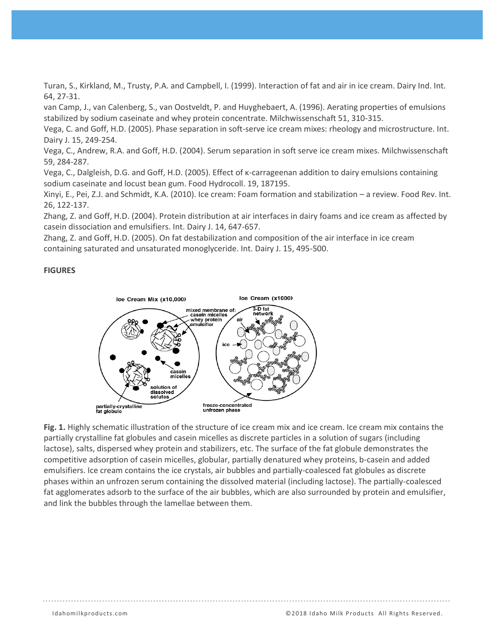Turan, S., Kirkland, M., Trusty, P.A. and Campbell, I. (1999). Interaction of fat and air in ice cream. Dairy Ind. Int. 64, 27-31.

van Camp, J., van Calenberg, S., van Oostveldt, P. and Huyghebaert, A. (1996). Aerating properties of emulsions stabilized by sodium caseinate and whey protein concentrate. Milchwissenschaft 51, 310-315.

Vega, C. and Goff, H.D. (2005). Phase separation in soft-serve ice cream mixes: rheology and microstructure. Int. Dairy J. 15, 249-254.

Vega, C., Andrew, R.A. and Goff, H.D. (2004). Serum separation in soft serve ice cream mixes. Milchwissenschaft 59, 284-287.

Vega, C., Dalgleish, D.G. and Goff, H.D. (2005). Effect of κ-carrageenan addition to dairy emulsions containing sodium caseinate and locust bean gum. Food Hydrocoll. 19, 187195.

Xinyi, E., Pei, Z.J. and Schmidt, K.A. (2010). Ice cream: Foam formation and stabilization – a review. Food Rev. Int. 26, 122-137.

Zhang, Z. and Goff, H.D. (2004). Protein distribution at air interfaces in dairy foams and ice cream as affected by casein dissociation and emulsifiers. Int. Dairy J. 14, 647-657.

Zhang, Z. and Goff, H.D. (2005). On fat destabilization and composition of the air interface in ice cream containing saturated and unsaturated monoglyceride. Int. Dairy J. 15, 495-500.

#### **FIGURES**



**Fig. 1.** Highly schematic illustration of the structure of ice cream mix and ice cream. Ice cream mix contains the partially crystalline fat globules and casein micelles as discrete particles in a solution of sugars (including lactose), salts, dispersed whey protein and stabilizers, etc. The surface of the fat globule demonstrates the competitive adsorption of casein micelles, globular, partially denatured whey proteins, b-casein and added emulsifiers. Ice cream contains the ice crystals, air bubbles and partially-coalesced fat globules as discrete phases within an unfrozen serum containing the dissolved material (including lactose). The partially-coalesced fat agglomerates adsorb to the surface of the air bubbles, which are also surrounded by protein and emulsifier, and link the bubbles through the lamellae between them.

Idahomilkproducts.com ©2018 Idaho Milk Products All Rights Reserved.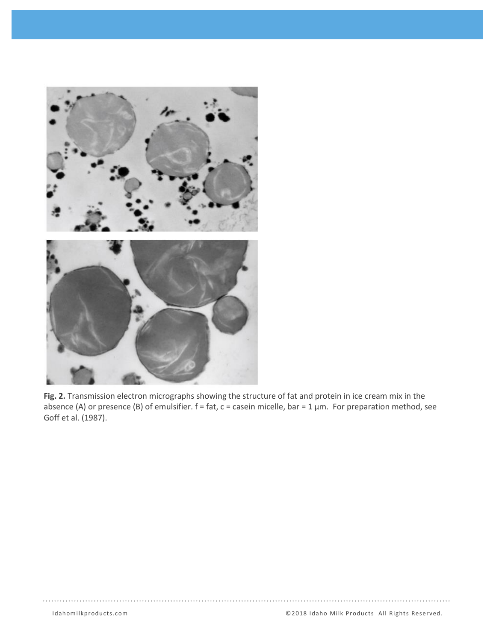

**Fig. 2.** Transmission electron micrographs showing the structure of fat and protein in ice cream mix in the absence (A) or presence (B) of emulsifier.  $f = fat$ ,  $c = case$ in micelle, bar = 1  $\mu$ m. For preparation method, see Goff et al. (1987).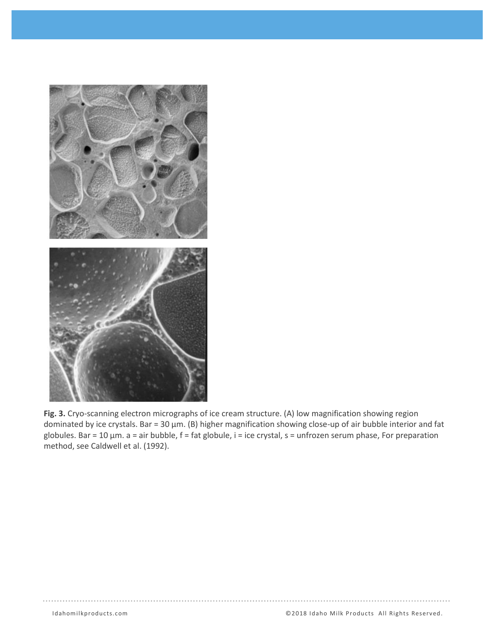

**Fig. 3.** Cryo-scanning electron micrographs of ice cream structure. (A) low magnification showing region dominated by ice crystals. Bar = 30 µm. (B) higher magnification showing close-up of air bubble interior and fat globules. Bar = 10 µm. a = air bubble, f = fat globule, i = ice crystal, s = unfrozen serum phase, For preparation method, see Caldwell et al. (1992).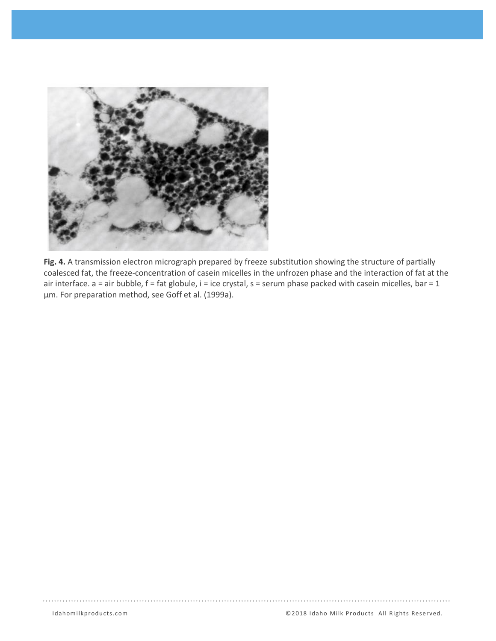

**Fig. 4.** A transmission electron micrograph prepared by freeze substitution showing the structure of partially coalesced fat, the freeze-concentration of casein micelles in the unfrozen phase and the interaction of fat at the air interface.  $a = a$ ir bubble,  $f = fat$  globule,  $i = ice$  crystal,  $s = serum$  phase packed with casein micelles, bar = 1 µm. For preparation method, see Goff et al. (1999a).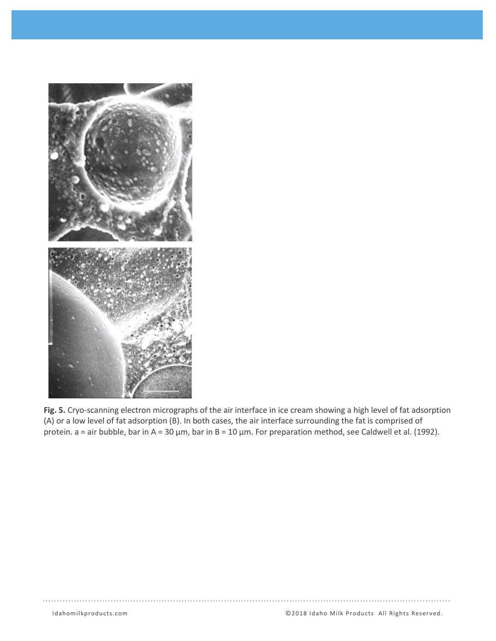

**Fig. 5.** Cryo-scanning electron micrographs of the air interface in ice cream showing a high level of fat adsorption (A) or a low level of fat adsorption (B). In both cases, the air interface surrounding the fat is comprised of protein. a = air bubble, bar in A = 30 µm, bar in B = 10 µm. For preparation method, see Caldwell et al. (1992).